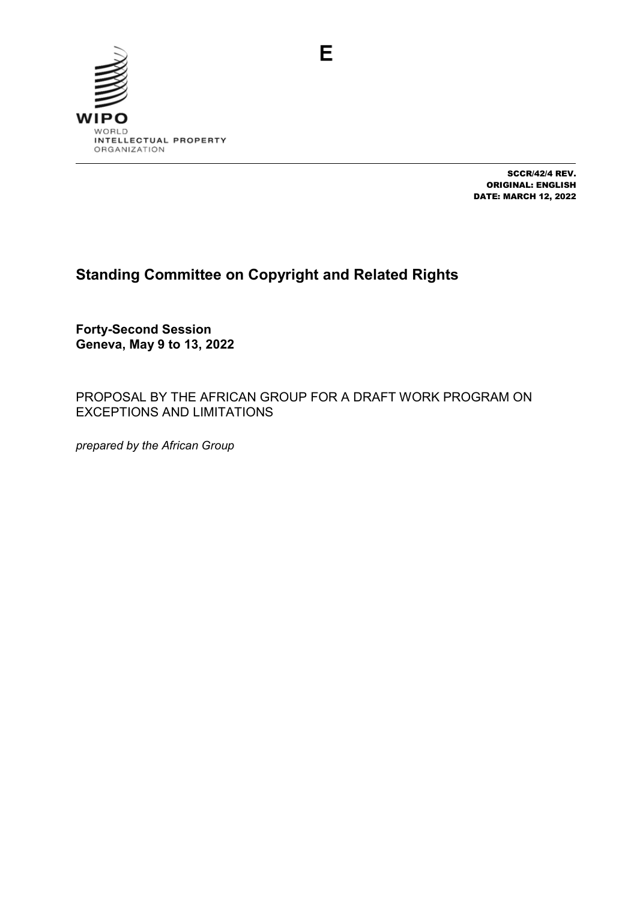

SCCR/42/4 REV. ORIGINAL: ENGLISH DATE: MARCH 12, 2022

# **Standing Committee on Copyright and Related Rights**

**Forty-Second Session Geneva, May 9 to 13, 2022**

PROPOSAL BY THE AFRICAN GROUP FOR A DRAFT WORK PROGRAM ON EXCEPTIONS AND LIMITATIONS

*prepared by the African Group*

E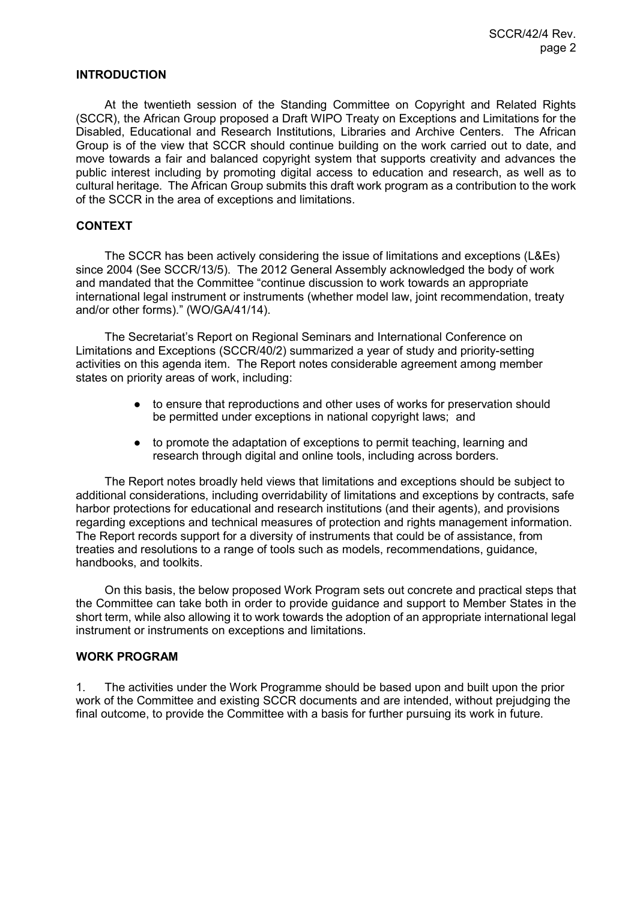### **INTRODUCTION**

At the twentieth session of the Standing Committee on Copyright and Related Rights (SCCR), the African Group proposed a Draft WIPO Treaty on Exceptions and Limitations for the Disabled, Educational and Research Institutions, Libraries and Archive Centers. The African Group is of the view that SCCR should continue building on the work carried out to date, and move towards a fair and balanced copyright system that supports creativity and advances the public interest including by promoting digital access to education and research, as well as to cultural heritage. The African Group submits this draft work program as a contribution to the work of the SCCR in the area of exceptions and limitations.

### **CONTEXT**

The SCCR has been actively considering the issue of limitations and exceptions (L&Es) since 2004 (See SCCR/13/5). The 2012 General Assembly acknowledged the body of work and mandated that the Committee "continue discussion to work towards an appropriate international legal instrument or instruments (whether model law, joint recommendation, treaty and/or other forms)." (WO/GA/41/14).

The Secretariat's Report on Regional Seminars and International Conference on Limitations and Exceptions (SCCR/40/2) summarized a year of study and priority-setting activities on this agenda item. The Report notes considerable agreement among member states on priority areas of work, including:

- to ensure that reproductions and other uses of works for preservation should be permitted under exceptions in national copyright laws; and
- to promote the adaptation of exceptions to permit teaching, learning and research through digital and online tools, including across borders.

The Report notes broadly held views that limitations and exceptions should be subject to additional considerations, including overridability of limitations and exceptions by contracts, safe harbor protections for educational and research institutions (and their agents), and provisions regarding exceptions and technical measures of protection and rights management information. The Report records support for a diversity of instruments that could be of assistance, from treaties and resolutions to a range of tools such as models, recommendations, guidance, handbooks, and toolkits.

On this basis, the below proposed Work Program sets out concrete and practical steps that the Committee can take both in order to provide guidance and support to Member States in the short term, while also allowing it to work towards the adoption of an appropriate international legal instrument or instruments on exceptions and limitations.

#### **WORK PROGRAM**

1. The activities under the Work Programme should be based upon and built upon the prior work of the Committee and existing SCCR documents and are intended, without prejudging the final outcome, to provide the Committee with a basis for further pursuing its work in future.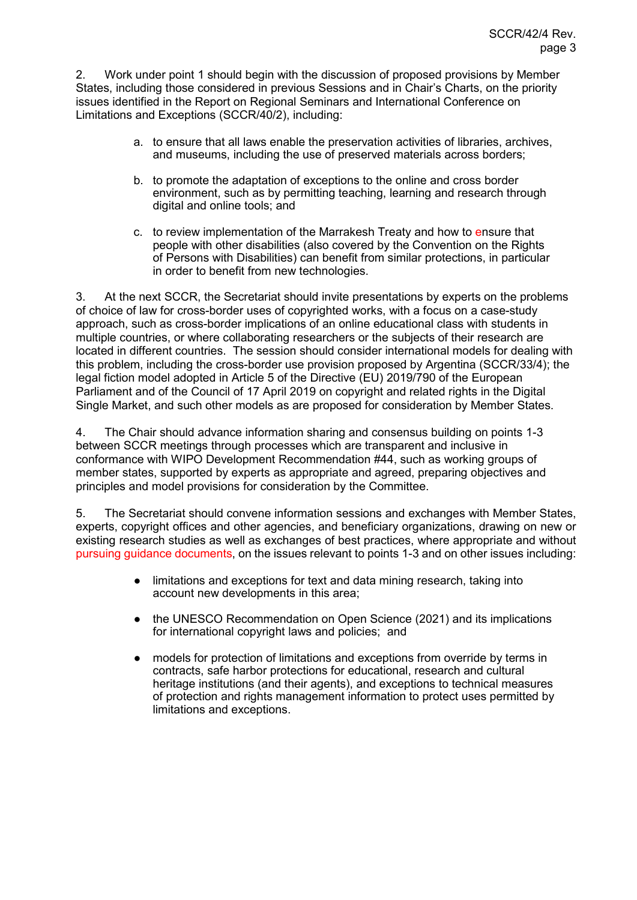2. Work under point 1 should begin with the discussion of proposed provisions by Member States, including those considered in previous Sessions and in Chair's Charts, on the priority issues identified in the Report on Regional Seminars and International Conference on Limitations and Exceptions (SCCR/40/2), including:

- a. to ensure that all laws enable the preservation activities of libraries, archives, and museums, including the use of preserved materials across borders;
- b. to promote the adaptation of exceptions to the online and cross border environment, such as by permitting teaching, learning and research through digital and online tools; and
- c. to review implementation of the Marrakesh Treaty and how to ensure that people with other disabilities (also covered by the Convention on the Rights of Persons with Disabilities) can benefit from similar protections, in particular in order to benefit from new technologies.

3. At the next SCCR, the Secretariat should invite presentations by experts on the problems of choice of law for cross-border uses of copyrighted works, with a focus on a case-study approach, such as cross-border implications of an online educational class with students in multiple countries, or where collaborating researchers or the subjects of their research are located in different countries. The session should consider international models for dealing with this problem, including the cross-border use provision proposed by Argentina (SCCR/33/4); the legal fiction model adopted in Article 5 of the Directive (EU) 2019/790 of the European Parliament and of the Council of 17 April 2019 on copyright and related rights in the Digital Single Market, and such other models as are proposed for consideration by Member States.

4. The Chair should advance information sharing and consensus building on points 1-3 between SCCR meetings through processes which are transparent and inclusive in conformance with WIPO Development Recommendation #44, such as working groups of member states, supported by experts as appropriate and agreed, preparing objectives and principles and model provisions for consideration by the Committee.

5. The Secretariat should convene information sessions and exchanges with Member States, experts, copyright offices and other agencies, and beneficiary organizations, drawing on new or existing research studies as well as exchanges of best practices, where appropriate and without pursuing guidance documents, on the issues relevant to points 1-3 and on other issues including:

- limitations and exceptions for text and data mining research, taking into account new developments in this area;
- the UNESCO Recommendation on Open Science (2021) and its implications for international copyright laws and policies; and
- models for protection of limitations and exceptions from override by terms in contracts, safe harbor protections for educational, research and cultural heritage institutions (and their agents), and exceptions to technical measures of protection and rights management information to protect uses permitted by limitations and exceptions.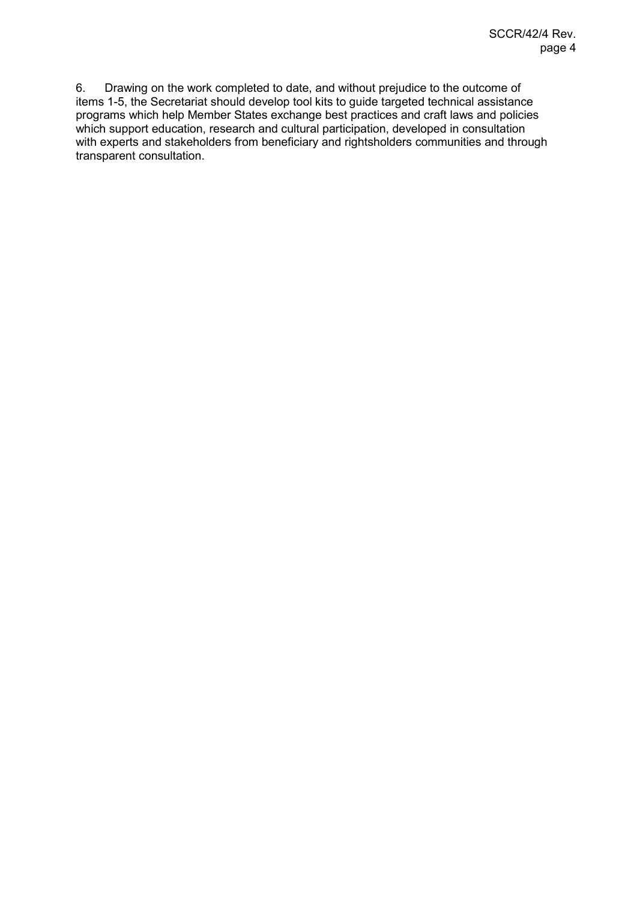6. Drawing on the work completed to date, and without prejudice to the outcome of items 1-5, the Secretariat should develop tool kits to guide targeted technical assistance programs which help Member States exchange best practices and craft laws and policies which support education, research and cultural participation, developed in consultation with experts and stakeholders from beneficiary and rightsholders communities and through transparent consultation.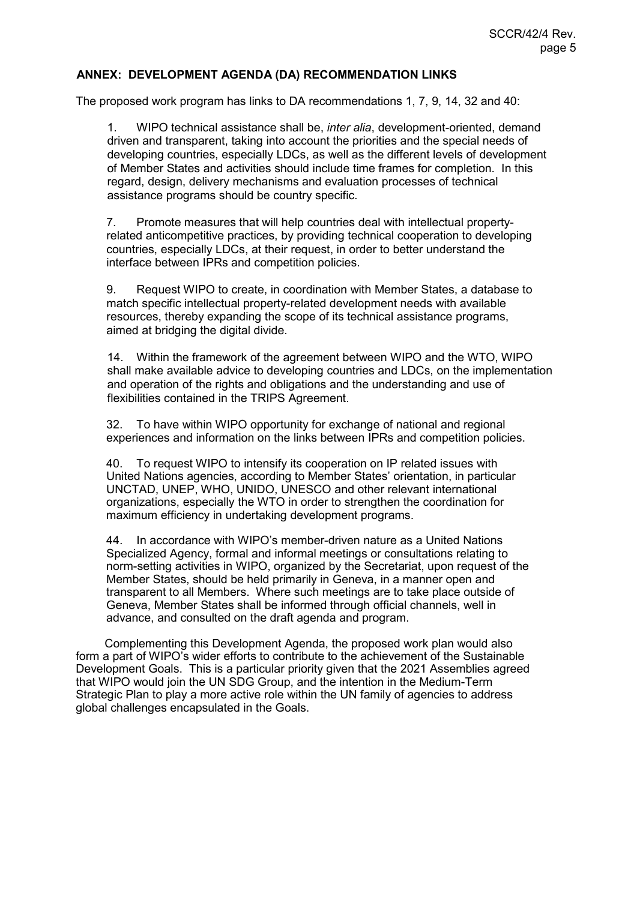## **ANNEX: DEVELOPMENT AGENDA (DA) RECOMMENDATION LINKS**

The proposed work program has links to DA recommendations 1, 7, 9, 14, 32 and 40:

1. WIPO technical assistance shall be, *inter alia*, development-oriented, demand driven and transparent, taking into account the priorities and the special needs of developing countries, especially LDCs, as well as the different levels of development of Member States and activities should include time frames for completion. In this regard, design, delivery mechanisms and evaluation processes of technical assistance programs should be country specific.

7. Promote measures that will help countries deal with intellectual propertyrelated anticompetitive practices, by providing technical cooperation to developing countries, especially LDCs, at their request, in order to better understand the interface between IPRs and competition policies.

9. Request WIPO to create, in coordination with Member States, a database to match specific intellectual property-related development needs with available resources, thereby expanding the scope of its technical assistance programs, aimed at bridging the digital divide.

14. Within the framework of the agreement between WIPO and the WTO, WIPO shall make available advice to developing countries and LDCs, on the implementation and operation of the rights and obligations and the understanding and use of flexibilities contained in the TRIPS Agreement.

32. To have within WIPO opportunity for exchange of national and regional experiences and information on the links between IPRs and competition policies.

40. To request WIPO to intensify its cooperation on IP related issues with United Nations agencies, according to Member States' orientation, in particular UNCTAD, UNEP, WHO, UNIDO, UNESCO and other relevant international organizations, especially the WTO in order to strengthen the coordination for maximum efficiency in undertaking development programs.

44. In accordance with WIPO's member-driven nature as a United Nations Specialized Agency, formal and informal meetings or consultations relating to norm-setting activities in WIPO, organized by the Secretariat, upon request of the Member States, should be held primarily in Geneva, in a manner open and transparent to all Members. Where such meetings are to take place outside of Geneva, Member States shall be informed through official channels, well in advance, and consulted on the draft agenda and program.

Complementing this Development Agenda, the proposed work plan would also form a part of WIPO's wider efforts to contribute to the achievement of the Sustainable Development Goals. This is a particular priority given that the 2021 Assemblies agreed that WIPO would join the UN SDG Group, and the intention in the Medium-Term Strategic Plan to play a more active role within the UN family of agencies to address global challenges encapsulated in the Goals.